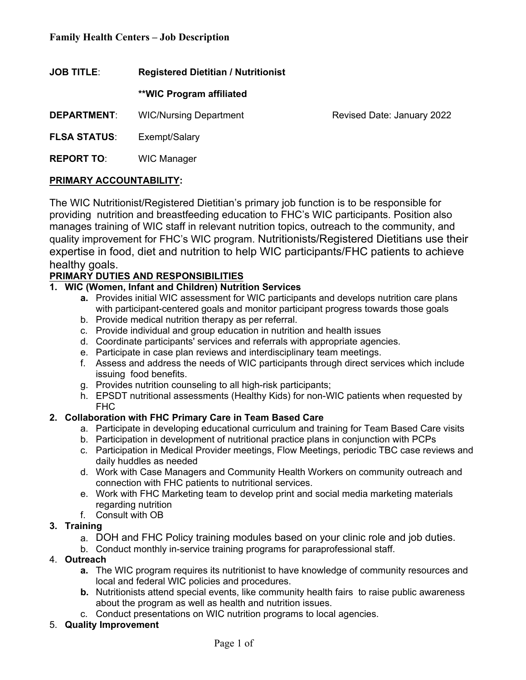**JOB TITLE**: **Registered Dietitian / Nutritionist** 

**\*\*WIC Program affiliated**

**DEPARTMENT:** WIC/Nursing Department Revised Date: January 2022

**FLSA STATUS**: Exempt/Salary

**REPORT TO**: WIC Manager

## **PRIMARY ACCOUNTABILITY:**

The WIC Nutritionist/Registered Dietitian's primary job function is to be responsible for providing nutrition and breastfeeding education to FHC's WIC participants. Position also manages training of WIC staff in relevant nutrition topics, outreach to the community, and quality improvement for FHC's WIC program. Nutritionists/Registered Dietitians use their expertise in food, diet and nutrition to help WIC participants/FHC patients to achieve healthy goals.

# **PRIMARY DUTIES AND RESPONSIBILITIES**

# **1. WIC (Women, Infant and Children) Nutrition Services**

- **a.** Provides initial WIC assessment for WIC participants and develops nutrition care plans with participant-centered goals and monitor participant progress towards those goals
- b. Provide medical nutrition therapy as per referral.
- c. Provide individual and group education in nutrition and health issues
- d. Coordinate participants' services and referrals with appropriate agencies.
- e. Participate in case plan reviews and interdisciplinary team meetings.
- f. Assess and address the needs of WIC participants through direct services which include issuing food benefits.
- g. Provides nutrition counseling to all high-risk participants;
- h. EPSDT nutritional assessments (Healthy Kids) for non-WIC patients when requested by FHC

# **2. Collaboration with FHC Primary Care in Team Based Care**

- a. Participate in developing educational curriculum and training for Team Based Care visits
- b. Participation in development of nutritional practice plans in conjunction with PCPs
- c. Participation in Medical Provider meetings, Flow Meetings, periodic TBC case reviews and daily huddles as needed
- d. Work with Case Managers and Community Health Workers on community outreach and connection with FHC patients to nutritional services.
- e. Work with FHC Marketing team to develop print and social media marketing materials regarding nutrition
- f. Consult with OB

## **3. Training**

- a. DOH and FHC Policy training modules based on your clinic role and job duties.
- b. Conduct monthly in-service training programs for paraprofessional staff.

## 4. **Outreach**

- **a.** The WIC program requires its nutritionist to have knowledge of community resources and local and federal WIC policies and procedures.
- **b.** Nutritionists attend special events, like community health fairs to raise public awareness about the program as well as health and nutrition issues.
- c. Conduct presentations on WIC nutrition programs to local agencies.

# 5. **Quality Improvement**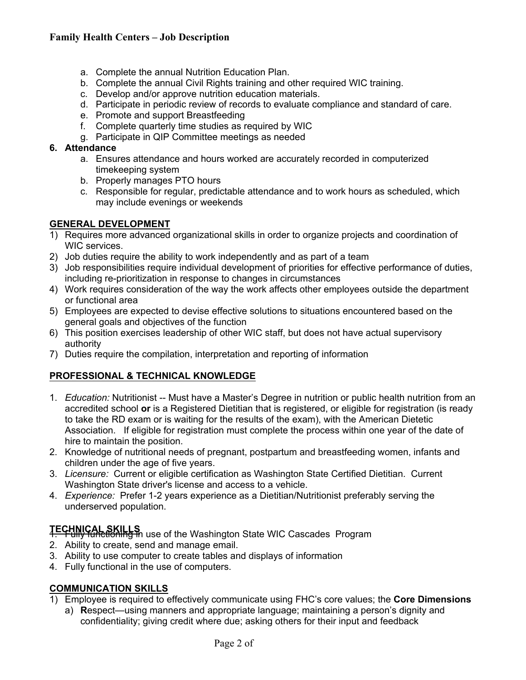# **Family Health Centers – Job Description**

- a. Complete the annual Nutrition Education Plan.
- b. Complete the annual Civil Rights training and other required WIC training.
- c. Develop and/or approve nutrition education materials.
- d. Participate in periodic review of records to evaluate compliance and standard of care.
- e. Promote and support Breastfeeding
- f. Complete quarterly time studies as required by WIC
- g. Participate in QIP Committee meetings as needed

#### **6. Attendance**

- a. Ensures attendance and hours worked are accurately recorded in computerized timekeeping system
- b. Properly manages PTO hours
- c. Responsible for regular, predictable attendance and to work hours as scheduled, which may include evenings or weekends

## **GENERAL DEVELOPMENT**

- 1) Requires more advanced organizational skills in order to organize projects and coordination of WIC services.
- 2) Job duties require the ability to work independently and as part of a team
- 3) Job responsibilities require individual development of priorities for effective performance of duties, including re-prioritization in response to changes in circumstances
- 4) Work requires consideration of the way the work affects other employees outside the department or functional area
- 5) Employees are expected to devise effective solutions to situations encountered based on the general goals and objectives of the function
- 6) This position exercises leadership of other WIC staff, but does not have actual supervisory authority
- 7) Duties require the compilation, interpretation and reporting of information

## **PROFESSIONAL & TECHNICAL KNOWLEDGE**

- 1. *Education:* Nutritionist -- Must have a Master's Degree in nutrition or public health nutrition from an accredited school **or** is a Registered Dietitian that is registered, or eligible for registration (is ready to take the RD exam or is waiting for the results of the exam), with the American Dietetic Association. If eligible for registration must complete the process within one year of the date of hire to maintain the position.
- 2. Knowledge of nutritional needs of pregnant, postpartum and breastfeeding women, infants and children under the age of five years.
- 3. *Licensure:* Current or eligible certification as Washington State Certified Dietitian. Current Washington State driver's license and access to a vehicle.
- 4. *Experience:* Prefer 1-2 years experience as a Dietitian/Nutritionist preferably serving the underserved population.

- **TECHNICAL SKILLS**<br>1. Fully functioning in use of the Washington State WIC Cascades Program 2. Ability to create, send and manage email.
- 3. Ability to use computer to create tables and displays of information
- 4. Fully functional in the use of computers.

## **COMMUNICATION SKILLS**

- 1) Employee is required to effectively communicate using FHC's core values; the **Core Dimensions**
	- a) **R**espect—using manners and appropriate language; maintaining a person's dignity and confidentiality; giving credit where due; asking others for their input and feedback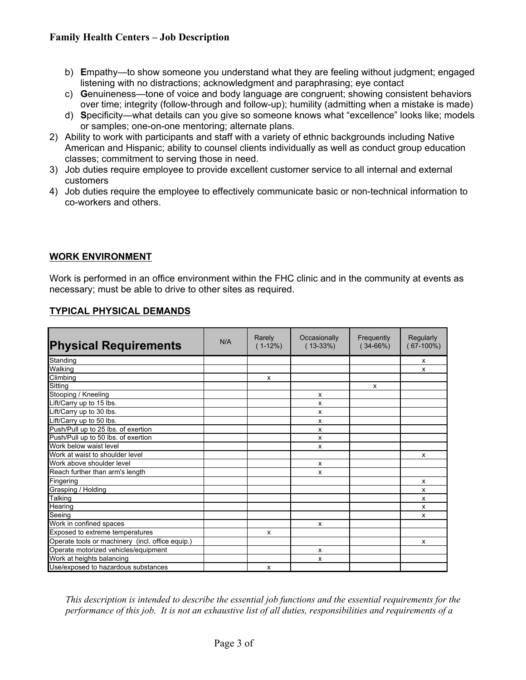## **Family Health Centers – Job Description**

- b) **E**mpathy—to show someone you understand what they are feeling without judgment; engaged listening with no distractions; acknowledgment and paraphrasing; eye contact
- c) **G**enuineness—tone of voice and body language are congruent; showing consistent behaviors over time; integrity (follow-through and follow-up); humility (admitting when a mistake is made)
- d) **S**pecificity—what details can you give so someone knows what "excellence" looks like; models or samples; one-on-one mentoring; alternate plans.
- 2) Ability to work with participants and staff with a variety of ethnic backgrounds including Native American and Hispanic; ability to counsel clients individually as well as conduct group education classes; commitment to serving those in need.
- 3) Job duties require employee to provide excellent customer service to all internal and external customers
- 4) Job duties require the employee to effectively communicate basic or non-technical information to co-workers and others.

#### **WORK ENVIRONMENT**

Work is performed in an office environment within the FHC clinic and in the community at events as necessary; must be able to drive to other sites as required.

| <b>TYPICAL PHYSICAL DEMANDS</b> |
|---------------------------------|
|---------------------------------|

| <b>Physical Requirements</b>                     | N/A | Rarely<br>$(1-12\%)$ | Occasionally<br>$(13-33%)$ | Frequently<br>$(34-66%)$ | Regularly<br>$(67-100\%)$ |
|--------------------------------------------------|-----|----------------------|----------------------------|--------------------------|---------------------------|
| Standing                                         |     |                      |                            |                          | $\mathsf{x}$              |
| Walking                                          |     |                      |                            |                          | x                         |
| Climbing                                         |     | X                    |                            |                          |                           |
| Sitting                                          |     |                      |                            | $\mathsf{x}$             |                           |
| Stooping / Kneeling                              |     |                      | х                          |                          |                           |
| Lift/Carry up to 15 lbs.                         |     |                      | x                          |                          |                           |
| Lift/Carry up to 30 lbs.                         |     |                      | x                          |                          |                           |
| Lift/Carry up to 50 lbs.                         |     |                      | x                          |                          |                           |
| Push/Pull up to 25 lbs. of exertion              |     |                      | x                          |                          |                           |
| Push/Pull up to 50 lbs. of exertion              |     |                      | x                          |                          |                           |
| Work below waist level                           |     |                      | x                          |                          |                           |
| Work at waist to shoulder level                  |     |                      |                            |                          | $\mathsf{x}$              |
| Work above shoulder level                        |     |                      | $\mathsf{x}$               |                          |                           |
| Reach further than arm's length                  |     |                      | x                          |                          |                           |
| Fingering                                        |     |                      |                            |                          | x                         |
| Grasping / Holding                               |     |                      |                            |                          | X                         |
| Talking                                          |     |                      |                            |                          | X                         |
| Hearing                                          |     |                      |                            |                          | x                         |
| Seeing                                           |     |                      |                            |                          | x                         |
| Work in confined spaces                          |     |                      | x                          |                          |                           |
| Exposed to extreme temperatures                  |     | X                    |                            |                          |                           |
| Operate tools or machinery (incl. office equip.) |     |                      |                            |                          | x                         |
| Operate motorized vehicles/equipment             |     |                      | $\mathsf{x}$               |                          |                           |
| Work at heights balancing                        |     |                      | x                          |                          |                           |
| Use/exposed to hazardous substances              |     | X                    |                            |                          |                           |

*This description is intended to describe the essential job functions and the essential requirements for the performance of this job. It is not an exhaustive list of all duties, responsibilities and requirements of a*